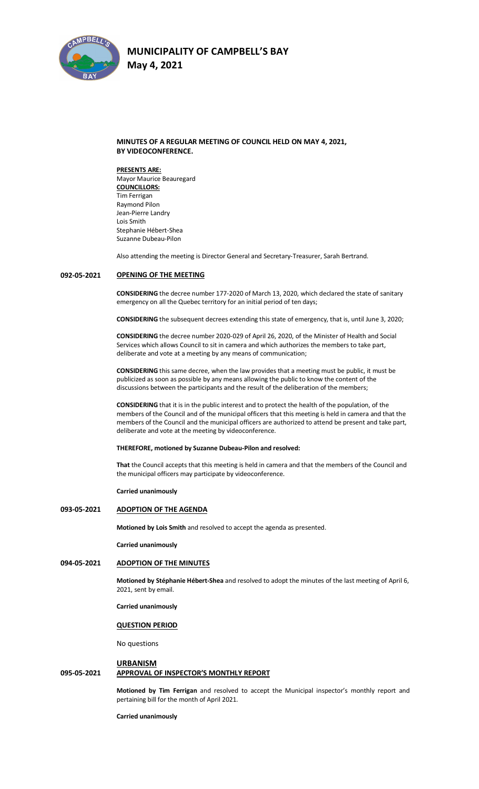

## **MINUTES OF A REGULAR MEETING OF COUNCIL HELD ON MAY 4, 2021, BY VIDEOCONFERENCE.**

**PRESENTS ARE:**  Mayor Maurice Beauregard **COUNCILLORS:** Tim Ferrigan Raymond Pilon Jean-Pierre Landry Lois Smith Stephanie Hébert-Shea Suzanne Dubeau-Pilon

Also attending the meeting is Director General and Secretary-Treasurer, Sarah Bertrand.

#### **092-05-2021 OPENING OF THE MEETING**

**CONSIDERING** the decree number 177-2020 of March 13, 2020, which declared the state of sanitary emergency on all the Quebec territory for an initial period of ten days;

**CONSIDERING** the subsequent decrees extending this state of emergency, that is, until June 3, 2020;

**CONSIDERING** the decree number 2020-029 of April 26, 2020, of the Minister of Health and Social Services which allows Council to sit in camera and which authorizes the members to take part, deliberate and vote at a meeting by any means of communication;

**CONSIDERING** this same decree, when the law provides that a meeting must be public, it must be publicized as soon as possible by any means allowing the public to know the content of the discussions between the participants and the result of the deliberation of the members;

**CONSIDERING** that it is in the public interest and to protect the health of the population, of the members of the Council and of the municipal officers that this meeting is held in camera and that the members of the Council and the municipal officers are authorized to attend be present and take part, deliberate and vote at the meeting by videoconference.

#### **THEREFORE, motioned by Suzanne Dubeau-Pilon and resolved:**

**That** the Council accepts that this meeting is held in camera and that the members of the Council and the municipal officers may participate by videoconference.

**Carried unanimously**

## **093-05-2021 ADOPTION OF THE AGENDA**

**Motioned by Lois Smith** and resolved to accept the agenda as presented.

**Carried unanimously**

## **094-05-2021 ADOPTION OF THE MINUTES**

**Motioned by Stéphanie Hébert-Shea** and resolved to adopt the minutes of the last meeting of April 6, 2021, sent by email.

**Carried unanimously**

#### **QUESTION PERIOD**

No questions

### **URBANISM**

## **095-05-2021 APPROVAL OF INSPECTOR'S MONTHLY REPORT**

**Motioned by Tim Ferrigan** and resolved to accept the Municipal inspector's monthly report and pertaining bill for the month of April 2021.

**Carried unanimously**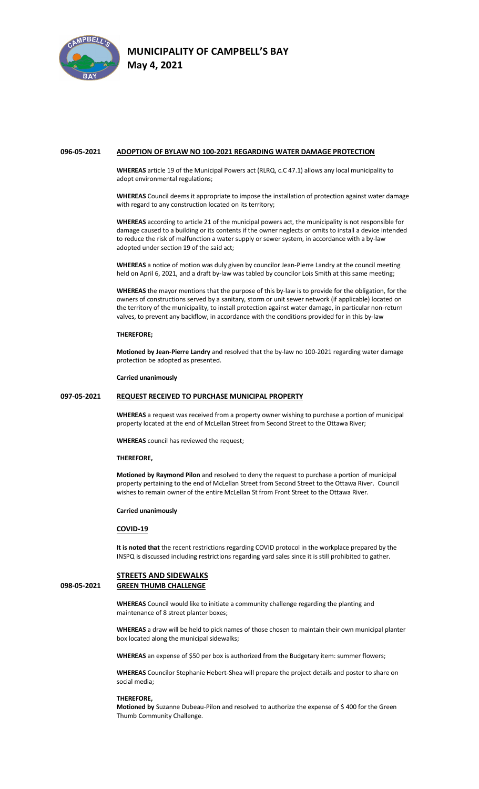

#### **096-05-2021 ADOPTION OF BYLAW NO 100-2021 REGARDING WATER DAMAGE PROTECTION**

**WHEREAS** article 19 of the Municipal Powers act (RLRQ, c.C 47.1) allows any local municipality to adopt environmental regulations;

**WHEREAS** Council deems it appropriate to impose the installation of protection against water damage with regard to any construction located on its territory;

**WHEREAS** according to article 21 of the municipal powers act, the municipality is not responsible for damage caused to a building or its contents if the owner neglects or omits to install a device intended to reduce the risk of malfunction a water supply or sewer system, in accordance with a by-law adopted under section 19 of the said act;

**WHEREAS** a notice of motion was duly given by councilor Jean-Pierre Landry at the council meeting held on April 6, 2021, and a draft by-law was tabled by councilor Lois Smith at this same meeting;

**WHEREAS** the mayor mentions that the purpose of this by-law is to provide for the obligation, for the owners of constructions served by a sanitary, storm or unit sewer network (if applicable) located on the territory of the municipality, to install protection against water damage, in particular non-return valves, to prevent any backflow, in accordance with the conditions provided for in this by-law

## **THEREFORE;**

**Motioned by Jean-Pierre Landry** and resolved that the by-law no 100-2021 regarding water damage protection be adopted as presented.

**Carried unanimously**

## **097-05-2021 REQUEST RECEIVED TO PURCHASE MUNICIPAL PROPERTY**

**WHEREAS** a request was received from a property owner wishing to purchase a portion of municipal property located at the end of McLellan Street from Second Street to the Ottawa River;

**WHEREAS** council has reviewed the request;

### **THEREFORE,**

**Motioned by Raymond Pilon** and resolved to deny the request to purchase a portion of municipal property pertaining to the end of McLellan Street from Second Street to the Ottawa River. Council wishes to remain owner of the entire McLellan St from Front Street to the Ottawa River.

#### **Carried unanimously**

## **COVID-19**

**It is noted that** the recent restrictions regarding COVID protocol in the workplace prepared by the INSPQ is discussed including restrictions regarding yard sales since it is still prohibited to gather.

## **STREETS AND SIDEWALKS 098-05-2021 GREEN THUMB CHALLENGE**

**WHEREAS** Council would like to initiate a community challenge regarding the planting and maintenance of 8 street planter boxes;

**WHEREAS** a draw will be held to pick names of those chosen to maintain their own municipal planter box located along the municipal sidewalks;

**WHEREAS** an expense of \$50 per box is authorized from the Budgetary item: summer flowers;

**WHEREAS** Councilor Stephanie Hebert-Shea will prepare the project details and poster to share on social media;

#### **THEREFORE,**

**Motioned by** Suzanne Dubeau-Pilon and resolved to authorize the expense of \$ 400 for the Green Thumb Community Challenge.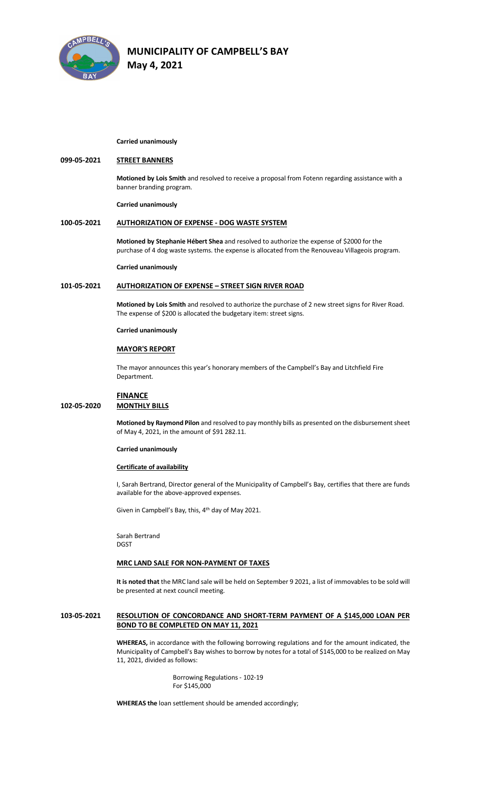

#### **Carried unanimously**

## **099-05-2021 STREET BANNERS**

**Motioned by Lois Smith** and resolved to receive a proposal from Fotenn regarding assistance with a banner branding program.

**Carried unanimously**

#### **100-05-2021 AUTHORIZATION OF EXPENSE - DOG WASTE SYSTEM**

**Motioned by Stephanie Hébert Shea** and resolved to authorize the expense of \$2000 for the purchase of 4 dog waste systems. the expense is allocated from the Renouveau Villageois program.

#### **Carried unanimously**

## **101-05-2021 AUTHORIZATION OF EXPENSE – STREET SIGN RIVER ROAD**

**Motioned by Lois Smith** and resolved to authorize the purchase of 2 new street signs for River Road. The expense of \$200 is allocated the budgetary item: street signs.

#### **Carried unanimously**

#### **MAYOR'S REPORT**

The mayor announces this year's honorary members of the Campbell's Bay and Litchfield Fire Department.

## **FINANCE**

## **102-05-2020 MONTHLY BILLS**

**Motioned by Raymond Pilon** and resolved to pay monthly bills as presented on the disbursement sheet of May 4, 2021, in the amount of \$91 282.11.

#### **Carried unanimously**

#### **Certificate of availability**

I, Sarah Bertrand, Director general of the Municipality of Campbell's Bay, certifies that there are funds available for the above-approved expenses.

Given in Campbell's Bay, this, 4th day of May 2021.

Sarah Bertrand DGST

## **MRC LAND SALE FOR NON-PAYMENT OF TAXES**

**It is noted that** the MRC land sale will be held on September 9 2021, a list of immovables to be sold will be presented at next council meeting.

## **103-05-2021 RESOLUTION OF CONCORDANCE AND SHORT-TERM PAYMENT OF A \$145,000 LOAN PER BOND TO BE COMPLETED ON MAY 11, 2021**

**WHEREAS,** in accordance with the following borrowing regulations and for the amount indicated, the Municipality of Campbell's Bay wishes to borrow by notes for a total of \$145,000 to be realized on May 11, 2021, divided as follows:

> Borrowing Regulations - 102-19 For \$145,000

**WHEREAS the** loan settlement should be amended accordingly;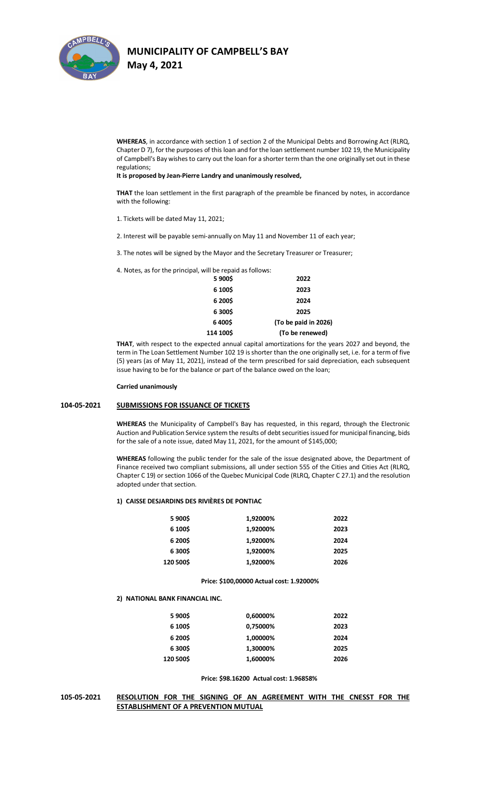

**WHEREAS**, in accordance with section 1 of section 2 of the Municipal Debts and Borrowing Act (RLRQ, Chapter D 7), for the purposes of this loan and for the loan settlement number 102 19, the Municipality of Campbell's Bay wishes to carry out the loan for a shorter term than the one originally set out in these regulations;

#### **It is proposed by Jean-Pierre Landry and unanimously resolved,**

**THAT** the loan settlement in the first paragraph of the preamble be financed by notes, in accordance with the following:

1. Tickets will be dated May 11, 2021;

2. Interest will be payable semi-annually on May 11 and November 11 of each year;

3. The notes will be signed by the Mayor and the Secretary Treasurer or Treasurer;

4. Notes, as for the principal, will be repaid as follows:

| 5 900\$   | 2022                 |
|-----------|----------------------|
| 6 100\$   | 2023                 |
| 6 200\$   | 2024                 |
| 6 300\$   | 2025                 |
| 6400\$    | (To be paid in 2026) |
| 114 100\$ | (To be renewed)      |

**THAT**, with respect to the expected annual capital amortizations for the years 2027 and beyond, the term in The Loan Settlement Number 102 19 is shorter than the one originally set, i.e. for a term of five (5) years (as of May 11, 2021), instead of the term prescribed for said depreciation, each subsequent issue having to be for the balance or part of the balance owed on the loan;

### **Carried unanimously**

#### **104-05-2021 SUBMISSIONS FOR ISSUANCE OF TICKETS**

**WHEREAS** the Municipality of Campbell's Bay has requested, in this regard, through the Electronic Auction and Publication Service system the results of debt securities issued for municipal financing, bids for the sale of a note issue, dated May 11, 2021, for the amount of \$145,000;

**WHEREAS** following the public tender for the sale of the issue designated above, the Department of Finance received two compliant submissions, all under section 555 of the Cities and Cities Act (RLRQ, Chapter C 19) or section 1066 of the Quebec Municipal Code (RLRQ, Chapter C 27.1) and the resolution adopted under that section.

#### **1) CAISSE DESJARDINS DES RIVIÈRES DE PONTIAC**

| 5 900\$   | 1,92000% | 2022 |
|-----------|----------|------|
| 6 100\$   | 1,92000% | 2023 |
| 6 200\$   | 1,92000% | 2024 |
| 6 300\$   | 1,92000% | 2025 |
| 120 500\$ | 1.92000% | 2026 |

#### **Price: \$100,00000 Actual cost: 1.92000%**

#### **2) NATIONAL BANK FINANCIAL INC.**

| 5 900\$   | 0,60000% | 2022 |
|-----------|----------|------|
| 6 100\$   | 0,75000% | 2023 |
| 6 200\$   | 1,00000% | 2024 |
| 6 300\$   | 1.30000% | 2025 |
| 120 500\$ | 1,60000% | 2026 |

#### **Price: \$98.16200 Actual cost: 1.96858%**

## **105-05-2021 RESOLUTION FOR THE SIGNING OF AN AGREEMENT WITH THE CNESST FOR THE ESTABLISHMENT OF A PREVENTION MUTUAL**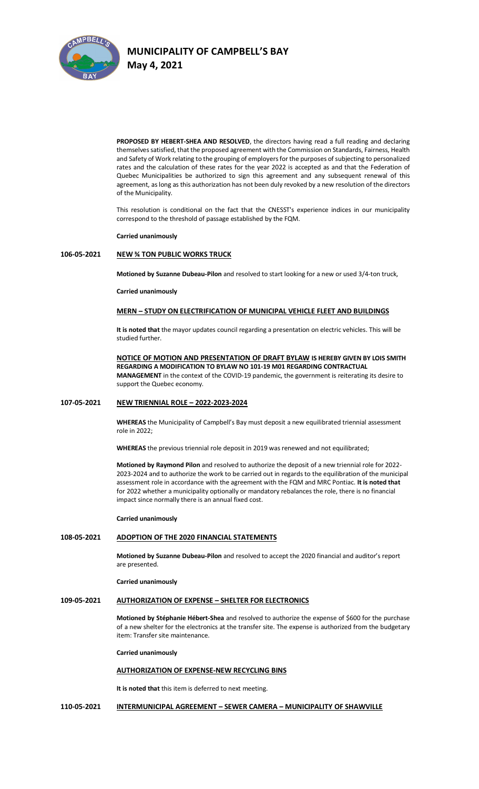

**PROPOSED BY HEBERT-SHEA AND RESOLVED**, the directors having read a full reading and declaring themselves satisfied, that the proposed agreement with the Commission on Standards, Fairness, Health and Safety of Work relating to the grouping of employers for the purposes of subjecting to personalized rates and the calculation of these rates for the year 2022 is accepted as and that the Federation of Quebec Municipalities be authorized to sign this agreement and any subsequent renewal of this agreement, as long as this authorization has not been duly revoked by a new resolution of the directors of the Municipality.

This resolution is conditional on the fact that the CNESST's experience indices in our municipality correspond to the threshold of passage established by the FQM.

#### **Carried unanimously**

## **106-05-2021 NEW ¾ TON PUBLIC WORKS TRUCK**

**Motioned by Suzanne Dubeau-Pilon** and resolved to start looking for a new or used 3/4-ton truck,

#### **Carried unanimously**

#### **MERN – STUDY ON ELECTRIFICATION OF MUNICIPAL VEHICLE FLEET AND BUILDINGS**

**It is noted that** the mayor updates council regarding a presentation on electric vehicles. This will be studied further.

### **NOTICE OF MOTION AND PRESENTATION OF DRAFT BYLAW IS HEREBY GIVEN BY LOIS SMITH REGARDING A MODIFICATION TO BYLAW NO 101-19 M01 REGARDING CONTRACTUAL MANAGEMENT** in the context of the COVID-19 pandemic, the government is reiterating its desire to support the Quebec economy.

## **107-05-2021 NEW TRIENNIAL ROLE – 2022-2023-2024**

**WHEREAS** the Municipality of Campbell's Bay must deposit a new equilibrated triennial assessment role in 2022;

**WHEREAS** the previous triennial role deposit in 2019 was renewed and not equilibrated;

**Motioned by Raymond Pilon** and resolved to authorize the deposit of a new triennial role for 2022- 2023-2024 and to authorize the work to be carried out in regards to the equilibration of the municipal assessment role in accordance with the agreement with the FQM and MRC Pontiac. **It is noted that** for 2022 whether a municipality optionally or mandatory rebalances the role, there is no financial impact since normally there is an annual fixed cost.

#### **Carried unanimously**

## **108-05-2021 ADOPTION OF THE 2020 FINANCIAL STATEMENTS**

**Motioned by Suzanne Dubeau-Pilon** and resolved to accept the 2020 financial and auditor's report are presented.

## **Carried unanimously**

## **109-05-2021 AUTHORIZATION OF EXPENSE – SHELTER FOR ELECTRONICS**

**Motioned by Stéphanie Hébert-Shea** and resolved to authorize the expense of \$600 for the purchase of a new shelter for the electronics at the transfer site. The expense is authorized from the budgetary item: Transfer site maintenance.

**Carried unanimously**

## **AUTHORIZATION OF EXPENSE-NEW RECYCLING BINS**

**It is noted that** this item is deferred to next meeting.

### **110-05-2021 INTERMUNICIPAL AGREEMENT – SEWER CAMERA – MUNICIPALITY OF SHAWVILLE**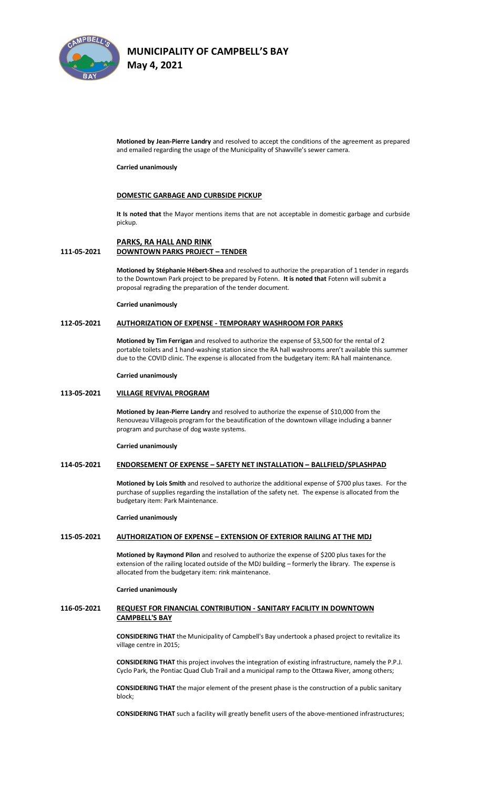

**Motioned by Jean-Pierre Landry** and resolved to accept the conditions of the agreement as prepared and emailed regarding the usage of the Municipality of Shawville's sewer camera.

**Carried unanimously**

## **DOMESTIC GARBAGE AND CURBSIDE PICKUP**

**It Is noted that** the Mayor mentions items that are not acceptable in domestic garbage and curbside pickup.

## **PARKS, RA HALL AND RINK 111-05-2021 DOWNTOWN PARKS PROJECT – TENDER**

**Motioned by Stéphanie Hébert-Shea** and resolved to authorize the preparation of 1 tender in regards to the Downtown Park project to be prepared by Fotenn. **It is noted that** Fotenn will submit a proposal regrading the preparation of the tender document.

## **Carried unanimously**

### **112-05-2021 AUTHORIZATION OF EXPENSE - TEMPORARY WASHROOM FOR PARKS**

**Motioned by Tim Ferrigan** and resolved to authorize the expense of \$3,500 for the rental of 2 portable toilets and 1 hand-washing station since the RA hall washrooms aren't available this summer due to the COVID clinic. The expense is allocated from the budgetary item: RA hall maintenance.

#### **Carried unanimously**

### **113-05-2021 VILLAGE REVIVAL PROGRAM**

**Motioned by Jean-Pierre Landry** and resolved to authorize the expense of \$10,000 from the Renouveau Villageois program for the beautification of the downtown village including a banner program and purchase of dog waste systems.

#### **Carried unanimously**

### **114-05-2021 ENDORSEMENT OF EXPENSE – SAFETY NET INSTALLATION – BALLFIELD/SPLASHPAD**

**Motioned by Lois Smith** and resolved to authorize the additional expense of \$700 plus taxes. For the purchase of supplies regarding the installation of the safety net. The expense is allocated from the budgetary item: Park Maintenance.

#### **Carried unanimously**

### **115-05-2021 AUTHORIZATION OF EXPENSE – EXTENSION OF EXTERIOR RAILING AT THE MDJ**

**Motioned by Raymond Pilon** and resolved to authorize the expense of \$200 plus taxesfor the extension of the railing located outside of the MDJ building – formerly the library. The expense is allocated from the budgetary item: rink maintenance.

### **Carried unanimously**

## **116-05-2021 REQUEST FOR FINANCIAL CONTRIBUTION - SANITARY FACILITY IN DOWNTOWN CAMPBELL'S BAY**

**CONSIDERING THAT** the Municipality of Campbell's Bay undertook a phased project to revitalize its village centre in 2015;

**CONSIDERING THAT** this project involves the integration of existing infrastructure, namely the P.P.J. Cyclo Park, the Pontiac Quad Club Trail and a municipal ramp to the Ottawa River, among others;

**CONSIDERING THAT** the major element of the present phase is the construction of a public sanitary block;

**CONSIDERING THAT** such a facility will greatly benefit users of the above-mentioned infrastructures;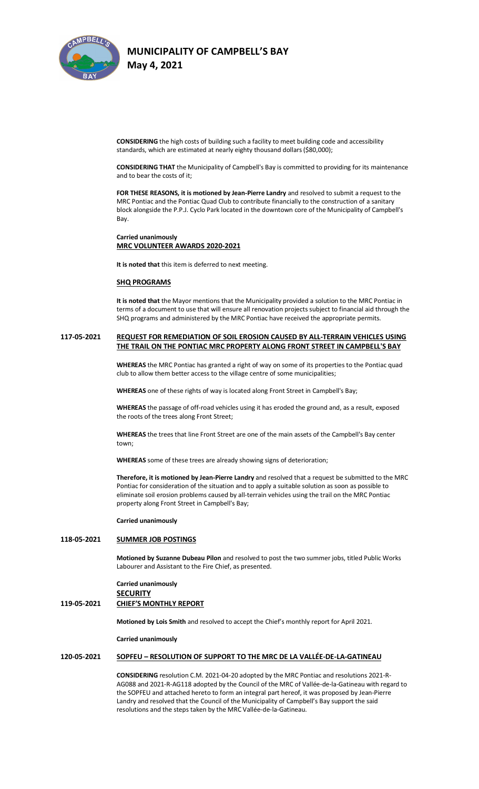

**CONSIDERING** the high costs of building such a facility to meet building code and accessibility standards, which are estimated at nearly eighty thousand dollars (\$80,000);

**CONSIDERING THAT** the Municipality of Campbell's Bay is committed to providing for its maintenance and to bear the costs of it;

**FOR THESE REASONS, it is motioned by Jean-Pierre Landry** and resolved to submit a request to the MRC Pontiac and the Pontiac Quad Club to contribute financially to the construction of a sanitary block alongside the P.P.J. Cyclo Park located in the downtown core of the Municipality of Campbell's Bay.

**Carried unanimously MRC VOLUNTEER AWARDS 2020-2021**

**It is noted that** this item is deferred to next meeting.

## **SHQ PROGRAMS**

**It is noted that** the Mayor mentions that the Municipality provided a solution to the MRC Pontiac in terms of a document to use that will ensure all renovation projects subject to financial aid through the SHQ programs and administered by the MRC Pontiac have received the appropriate permits.

## **117-05-2021 REQUEST FOR REMEDIATION OF SOIL EROSION CAUSED BY ALL-TERRAIN VEHICLES USING THE TRAIL ON THE PONTIAC MRC PROPERTY ALONG FRONT STREET IN CAMPBELL'S BAY**

**WHEREAS** the MRC Pontiac has granted a right of way on some of its properties to the Pontiac quad club to allow them better access to the village centre of some municipalities;

**WHEREAS** one of these rights of way is located along Front Street in Campbell's Bay;

**WHEREAS** the passage of off-road vehicles using it has eroded the ground and, as a result, exposed the roots of the trees along Front Street;

**WHEREAS** the trees that line Front Street are one of the main assets of the Campbell's Bay center town;

**WHEREAS** some of these trees are already showing signs of deterioration;

**Therefore, it is motioned by Jean-Pierre Landry** and resolved that a request be submitted to the MRC Pontiac for consideration of the situation and to apply a suitable solution as soon as possible to eliminate soil erosion problems caused by all-terrain vehicles using the trail on the MRC Pontiac property along Front Street in Campbell's Bay;

#### **Carried unanimously**

## **118-05-2021 SUMMER JOB POSTINGS**

**Motioned by Suzanne Dubeau Pilon** and resolved to post the two summer jobs, titled Public Works Labourer and Assistant to the Fire Chief, as presented.

## **Carried unanimously SECURITY 119-05-2021 CHIEF'S MONTHLY REPORT**

**Motioned by Lois Smith** and resolved to accept the Chief's monthly report for April 2021.

**Carried unanimously**

## **120-05-2021 SOPFEU – RESOLUTION OF SUPPORT TO THE MRC DE LA VALLÉE-DE-LA-GATINEAU**

**CONSIDERING** resolution C.M. 2021-04-20 adopted by the MRC Pontiac and resolutions 2021-R-AG088 and 2021-R-AG118 adopted by the Council of the MRC of Vallée-de-la-Gatineau with regard to the SOPFEU and attached hereto to form an integral part hereof, it was proposed by Jean-Pierre Landry and resolved that the Council of the Municipality of Campbell's Bay support the said resolutions and the steps taken by the MRC Vallée-de-la-Gatineau.